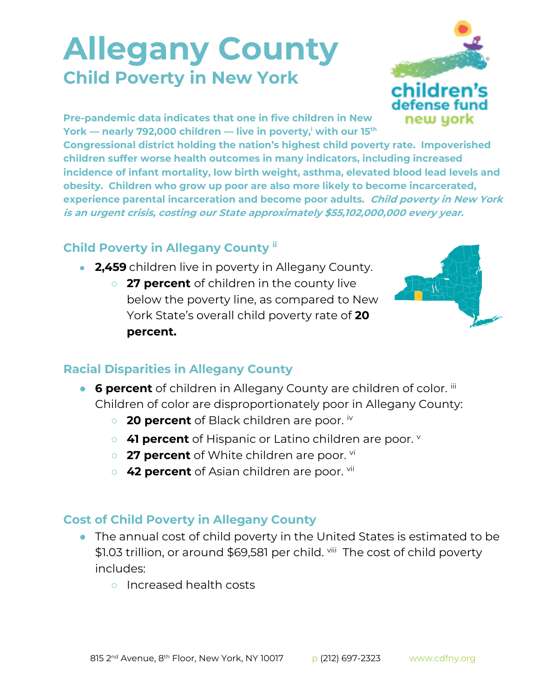## **Allegany County Child Poverty in New York**



**Pre-pandemic data indicates that one in five children in New York — nearly 792,000 children — live in poverty,<sup>i</sup> with our 15th**

**Congressional district holding the nation's highest child poverty rate. Impoverished children suffer worse health outcomes in many indicators, including increased incidence of infant mortality, low birth weight, asthma, elevated blood lead levels and obesity. Children who grow up poor are also more likely to become incarcerated, experience parental incarceration and become poor adults. Child poverty in New York is an urgent crisis, costing our State approximately \$55,102,000,000 every year.**

## **Child Poverty in Allegany County ii**

- **2,459** children live in poverty in Allegany County.
	- **27 percent** of children in the county live below the poverty line, as compared to New York State's overall child poverty rate of **20 percent.**



## **Racial Disparities in Allegany County**

- **6 percent** of children in Allegany County are children of color. iii Children of color are disproportionately poor in Allegany County:
	- **20 percent** of Black children are poor. iv
	- **41 percent** of Hispanic or Latino children are poor.
	- 27 percent of White children are poor. <sup>vi</sup>
	- **42 percent** of Asian children are poor. <sup>vii</sup>

## **Cost of Child Poverty in Allegany County**

- The annual cost of child poverty in the United States is estimated to be \$1.03 trillion, or around \$69,581 per child. <sup>viii</sup> The cost of child poverty includes:
	- Increased health costs